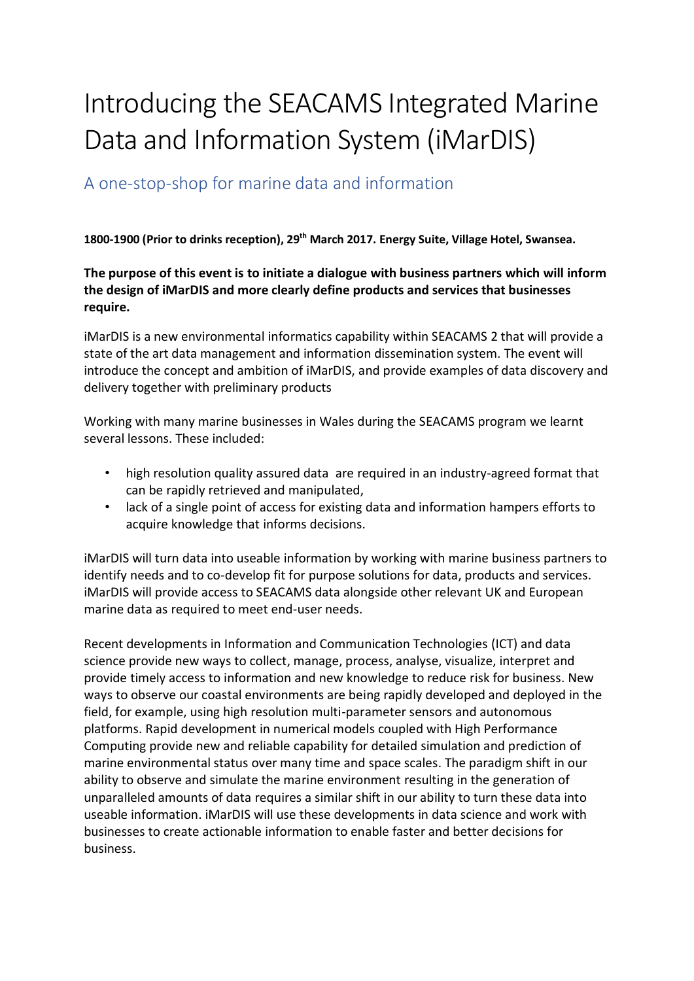## Introducing the SEACAMS Integrated Marine Data and Information System (iMarDIS)

## A one-stop-shop for marine data and information

**1800-1900 (Prior to drinks reception), 29th March 2017. Energy Suite, Village Hotel, Swansea.**

**The purpose of this event is to initiate a dialogue with business partners which will inform the design of iMarDIS and more clearly define products and services that businesses require.**

iMarDIS is a new environmental informatics capability within SEACAMS 2 that will provide a state of the art data management and information dissemination system. The event will introduce the concept and ambition of iMarDIS, and provide examples of data discovery and delivery together with preliminary products

Working with many marine businesses in Wales during the SEACAMS program we learnt several lessons. These included:

- high resolution quality assured data are required in an industry-agreed format that can be rapidly retrieved and manipulated,
- lack of a single point of access for existing data and information hampers efforts to acquire knowledge that informs decisions.

iMarDIS will turn data into useable information by working with marine business partners to identify needs and to co-develop fit for purpose solutions for data, products and services. iMarDIS will provide access to SEACAMS data alongside other relevant UK and European marine data as required to meet end-user needs.

Recent developments in Information and Communication Technologies (ICT) and data science provide new ways to collect, manage, process, analyse, visualize, interpret and provide timely access to information and new knowledge to reduce risk for business. New ways to observe our coastal environments are being rapidly developed and deployed in the field, for example, using high resolution multi-parameter sensors and autonomous platforms. Rapid development in numerical models coupled with High Performance Computing provide new and reliable capability for detailed simulation and prediction of marine environmental status over many time and space scales. The paradigm shift in our ability to observe and simulate the marine environment resulting in the generation of unparalleled amounts of data requires a similar shift in our ability to turn these data into useable information. iMarDIS will use these developments in data science and work with businesses to create actionable information to enable faster and better decisions for business.